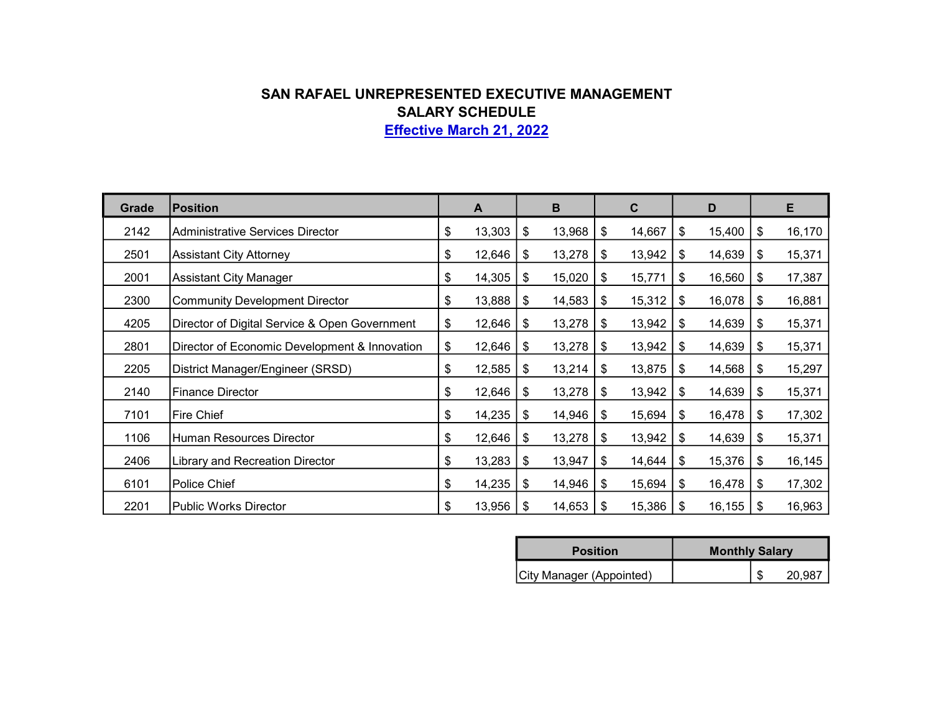## SAN RAFAEL UNREPRESENTED EXECUTIVE MANAGEMENT SALARY SCHEDULE Effective March 21, 2022

Grade Position A B C D E 2142 Administrative Services Director 13,303 | \$ 13,303 | \$ 13,968 | \$ 14,667 | \$ 15,400 | \$ 16,170 2501 Assistant City Attorney 12,646 \, \$12,646 \, \$13,278 \, \$13,942 \, \$14,639 \, \$15,371 2001 Assistant City Manager 15 14,305 \$ 15,020 \$ 15,771 \$ 16,560 \$ 17,387 2300 Community Development Director 18 13,888 \$ 14,583 \$ 15,312 \$ 16,078 \$ 16,881 4205 Director of Digital Service & Open Government  $\begin{array}{|l} 12,646 & 13,278 & 13,942 & 14,639 & 15 \end{array}$  15,371 2801 | Director of Economic Development & Innovation | \$ 12,646 | \$ 13,278 | \$ 13,942 | \$ 14,639 | \$ 15,371 2205 | District Manager/Engineer (SRSD) | \$ 12,585 | \$ 13,214 | \$ 13,875 | \$ 14,568 | \$ 15,297 2140 | Finance Director | 12,646 | \$ 12,646 | \$ 13,278 | \$ 13,942 | \$ 14,639 | \$ 15,371 7101 Fire Chief 14,235 \$ 14,946 \$ 15,694 \$ 16,478 \$ 17,302 \$ 1106 Human Resources Director 12,646 \$ 12,646 \$ 13,278 \$ 13,942 \$ 14,639 \$ 15,371 2406 Library and Recreation Director 15,283 | \$13,283 | \$13,947 | \$14,644 | \$15,376 | \$16,145 6101 Police Chief 14,235 \$ 14,946 \$ 15,694 \$ 16,478 \$ 17,302 \$ 2201 Public Works Director 15 13,956 | \$ 13,956 | \$ 14,653 | \$ 15,386 | \$ 16,155 | \$ 16,963

| <b>Position</b>          | <b>Monthly Salary</b> |  |        |  |  |  |
|--------------------------|-----------------------|--|--------|--|--|--|
| City Manager (Appointed) |                       |  | 20,987 |  |  |  |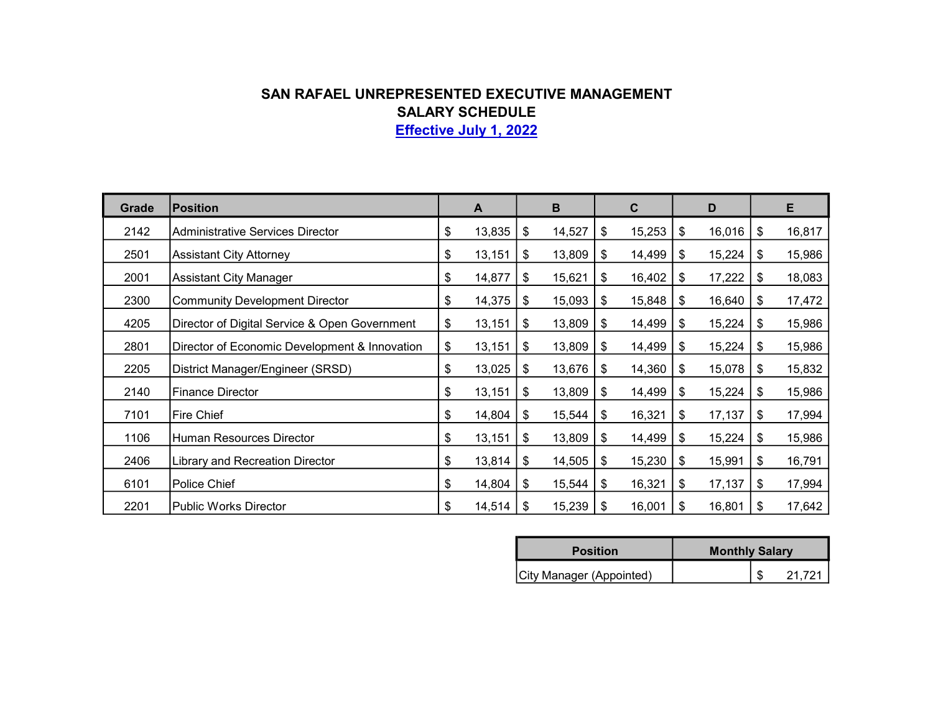## SAN RAFAEL UNREPRESENTED EXECUTIVE MANAGEMENT SALARY SCHEDULE

Effective July 1, 2022

| Grade | <b>Position</b>                               | A            |    | B      | $\mathbf{C}$ | D            |    | Е      |
|-------|-----------------------------------------------|--------------|----|--------|--------------|--------------|----|--------|
| 2142  | <b>Administrative Services Director</b>       | \$<br>13,835 | \$ | 14,527 | \$<br>15,253 | \$<br>16,016 | \$ | 16,817 |
| 2501  | <b>Assistant City Attorney</b>                | \$<br>13,151 | \$ | 13,809 | \$<br>14,499 | \$<br>15,224 | \$ | 15,986 |
| 2001  | <b>Assistant City Manager</b>                 | \$<br>14,877 | \$ | 15,621 | \$<br>16,402 | \$<br>17,222 | \$ | 18,083 |
| 2300  | <b>Community Development Director</b>         | \$<br>14,375 | \$ | 15,093 | \$<br>15,848 | \$<br>16,640 | \$ | 17,472 |
| 4205  | Director of Digital Service & Open Government | \$<br>13,151 | \$ | 13,809 | \$<br>14,499 | \$<br>15,224 | \$ | 15,986 |
| 2801  | Director of Economic Development & Innovation | \$<br>13,151 | \$ | 13,809 | \$<br>14,499 | \$<br>15,224 | S  | 15,986 |
| 2205  | District Manager/Engineer (SRSD)              | \$<br>13,025 | \$ | 13,676 | \$<br>14,360 | \$<br>15,078 | \$ | 15,832 |
| 2140  | <b>Finance Director</b>                       | \$<br>13,151 | \$ | 13,809 | \$<br>14,499 | \$<br>15,224 | \$ | 15,986 |
| 7101  | <b>Fire Chief</b>                             | \$<br>14,804 | \$ | 15,544 | \$<br>16,321 | \$<br>17,137 | \$ | 17,994 |
| 1106  | Human Resources Director                      | \$<br>13,151 | \$ | 13,809 | \$<br>14,499 | \$<br>15,224 | \$ | 15,986 |
| 2406  | Library and Recreation Director               | \$<br>13,814 | \$ | 14,505 | \$<br>15,230 | \$<br>15,991 | \$ | 16,791 |
| 6101  | Police Chief                                  | \$<br>14,804 | \$ | 15,544 | \$<br>16,321 | \$<br>17,137 | \$ | 17,994 |
| 2201  | <b>Public Works Director</b>                  | \$<br>14,514 | S  | 15,239 | \$<br>16,001 | \$<br>16,801 | S  | 17,642 |

| <b>Position</b>          | <b>Monthly Salary</b> |
|--------------------------|-----------------------|
| City Manager (Appointed) | <b>ワイ フウイ</b>         |